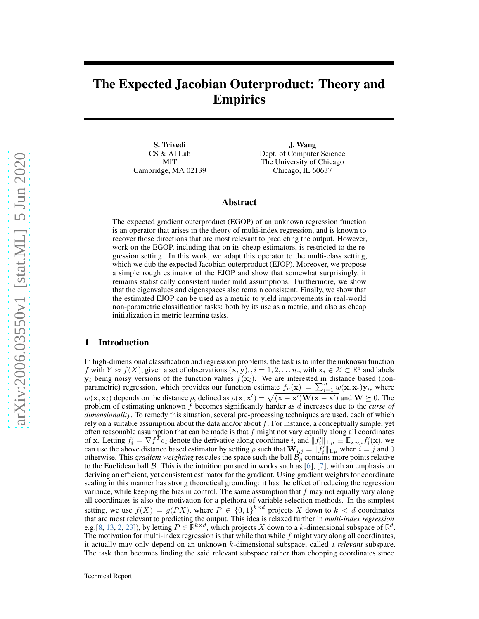# The Expected Jacobian Outerproduct: Theory and Empirics

S. Trivedi CS & AI Lab MIT Cambridge, MA 02139

J. Wang Dept. of Computer Science The University of Chicago Chicago, IL 60637

## Abstract

The expected gradient outerproduct (EGOP) of an unknown regression function is an operator that arises in the theory of multi-index regression, and is known to recover those directions that are most relevant to predicting the output. However, work on the EGOP, including that on its cheap estimators, is restricted to the regression setting. In this work, we adapt this operator to the multi-class setting, which we dub the expected Jacobian outerproduct (EJOP). Moreover, we propose a simple rough estimator of the EJOP and show that somewhat surprisingly, it remains statistically consistent under mild assumptions. Furthermore, we show that the eigenvalues and eigenspaces also remain consistent. Finally, we show that the estimated EJOP can be used as a metric to yield improvements in real-world non-parametric classification tasks: both by its use as a metric, and also as cheap initialization in metric learning tasks.

#### 1 Introduction

In high-dimensional classification and regression problems, the task is to infer the unknown function f with  $Y \approx f(X)$ , given a set of observations  $(\mathbf{x}, \mathbf{y})_i, i = 1, 2, \dots, n$ , with  $\mathbf{x}_i \in \mathcal{X} \subset \mathbb{R}^d$  and labels  $y_i$  being noisy versions of the function values  $f(x_i)$ . We are interested in distance based (nonparametric) regression, which provides our function estimate  $f_n(\mathbf{x}) = \sum_{i=1}^n w(\mathbf{x}, \mathbf{x}_i) \mathbf{y}_i$ , where  $w(\mathbf{x}, \mathbf{x}_i)$  depends on the distance  $\rho$ , defined as  $\rho(\mathbf{x}, \mathbf{x}') = \sqrt{(\mathbf{x} - \mathbf{x}') \mathbf{W} (\mathbf{x} - \mathbf{x}')}$  and  $\mathbf{W} \succeq 0$ . The problem of estimating unknown f becomes significantly harder as d increases due to the *curse of dimensionality*. To remedy this situation, several pre-processing techniques are used, each of which rely on a suitable assumption about the data and/or about  $f$ . For instance, a conceptually simple, yet often reasonable assumption that can be made is that  $f$  might not vary equally along all coordinates of x. Letting  $f'_i = \nabla f^T e_i$  denote the derivative along coordinate i, and  $||f'_i||_{1,\mu} \equiv \mathbb{E}_{\mathbf{x} \sim \mu} f'_i(\mathbf{x})$ , we can use the above distance based estimator by setting  $\rho$  such that  $\mathbf{W}_{i,j} = ||f'_i||_{1,\mu}^2$  when  $i = j$  and 0 otherwise. This *gradient weighting* rescales the space such the ball  $B_\rho$  contains more points relative to the Euclidean ball  $\beta$ . This is the intuition pursued in works such as [6], [\[7\]](#page-14-0), with an emphasis on deriving an efficient, yet consistent estimator for the gradient. Using gradient weights for coordinate scaling in this manner has strong theoretical grounding: it has the effect of reducing the regression variance, while keeping the bias in control. The same assumption that  $f$  may not equally vary along all coordinates is also the motivation for a plethora of variable selection methods. In the simplest setting, we use  $f(X) = g(PX)$ , where  $P \in \{0,1\}^{k \times d}$  projects X down to  $k < d$  coordinates that are most relevant to predicting the output. This idea is relaxed further in *multi-index regression* e.g.[\[8,](#page-14-1) [13,](#page-15-0) [2,](#page-14-2) [23\]](#page-15-1)), by letting  $P \in \mathbb{R}^{k \times d}$ , which projects X down to a k-dimensional subspace of  $\mathbb{R}^d$ . The motivation for multi-index regression is that while that while  $f$  might vary along all coordinates, it actually may only depend on an unknown k-dimensional subspace, called a *relevant* subspace. The task then becomes finding the said relevant subspace rather than chopping coordinates since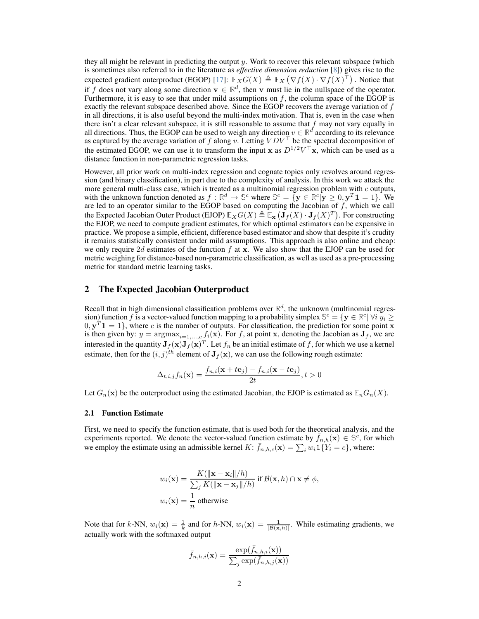they all might be relevant in predicting the output  $y$ . Work to recover this relevant subspace (which is sometimes also referred to in the literature as *effective dimension reduction* [\[8\]](#page-14-1)) gives rise to the expected gradient outerproduct (EGOP) [\[17\]](#page-15-2):  $\mathbb{E}_X G(X) \triangleq \mathbb{E}_X (\nabla f(X) \cdot \nabla f(X)^\top)$ . Notice that if f does not vary along some direction  $\mathbf{v} \in \mathbb{R}^d$ , then v must lie in the nullspace of the operator. Furthermore, it is easy to see that under mild assumptions on  $f$ , the column space of the EGOP is exactly the relevant subspace described above. Since the EGOP recovers the average variation of  $f$ in all directions, it is also useful beyond the multi-index motivation. That is, even in the case when there isn't a clear relevant subspace, it is still reasonable to assume that  $f$  may not vary equally in all directions. Thus, the EGOP can be used to weigh any direction  $v \in \mathbb{R}^d$  according to its relevance as captured by the average variation of f along v. Letting  $VDV^{\top}$  be the spectral decomposition of the estimated EGOP, we can use it to transform the input x as  $D^{1/2}V^{\top}x$ , which can be used as a distance function in non-parametric regression tasks.

However, all prior work on multi-index regression and cognate topics only revolves around regression (and binary classification), in part due to the complexity of analysis. In this work we attack the more general multi-class case, which is treated as a multinomial regression problem with  $c$  outputs, with the unknown function denoted as  $f : \mathbb{R}^d \to \mathbb{S}^c$  where  $\mathbb{S}^c = \{ \mathbf{y} \in \mathbb{R}^c | \mathbf{y} \ge 0, \mathbf{y}^T \mathbf{1} = 1 \}$ . We are led to an operator similar to the EGOP based on computing the Jacobian of f, which we the Expected Jacobian Outer Product (EJOP)  $\mathbb{E}_X G(X) \triangleq \mathbb{E}_X (\mathbf{J}_f(X) \cdot \mathbf{J}_f(X)^T)$ . For constructing the EJOP, we need to compute gradient estimates, for which optimal estimators can be expensive in practice. We propose a simple, efficient, difference based estimator and show that despite it's crudity it remains statistically consistent under mild assumptions. This approach is also online and cheap: we only require 2d estimates of the function  $f$  at x. We also show that the EJOP can be used for metric weighing for distance-based non-parametric classification, as well as used as a pre-processing metric for standard metric learning tasks.

### 2 The Expected Jacobian Outerproduct

Recall that in high dimensional classification problems over  $\mathbb{R}^d$ , the unknown (multinomial regression) function f is a vector-valued function mapping to a probability simplex  $\mathbb{S}^c = \{ \mathbf{y} \in \mathbb{R}^c | \forall i \ y_i \geq 0 \}$  $0, \mathbf{y}^T \mathbf{1} = 1$ , where c is the number of outputs. For classification, the prediction for some point x is then given by:  $y = \text{argmax}_{i=1,\dots,c} f_i(\mathbf{x})$ . For f, at point x, denoting the Jacobian as  $\mathbf{J}_f$ , we are interested in the quantity  $J_f(x)J_f(x)^T$ . Let  $f_n$  be an initial estimate of f, for which we use a kernel estimate, then for the  $(i, j)^{th}$  element of  $J_f(x)$ , we can use the following rough estimate:

$$
\Delta_{t,i,j} f_n(\mathbf{x}) = \frac{f_{n,i}(\mathbf{x} + t\mathbf{e}_j) - f_{n,i}(\mathbf{x} - t\mathbf{e}_j)}{2t}, t > 0
$$

Let  $G_n(\mathbf{x})$  be the outerproduct using the estimated Jacobian, the EJOP is estimated as  $\mathbb{E}_n G_n(X)$ .

#### 2.1 Function Estimate

First, we need to specify the function estimate, that is used both for the theoretical analysis, and the experiments reported. We denote the vector-valued function estimate by  $\bar{f}_{n,h}(\mathbf{x}) \in \mathbb{S}^c$ , for which we employ the estimate using an admissible kernel  $K: \bar{f}_{n,h,c}(\mathbf{x}) = \sum_i w_i \mathbb{1}\{Y_i = c\}$ , where:

$$
w_i(\mathbf{x}) = \frac{K(||\mathbf{x} - \mathbf{x}_i||/h)}{\sum_j K(||\mathbf{x} - \mathbf{x}_j||/h)} \text{ if } \mathcal{B}(\mathbf{x}, h) \cap \mathbf{x} \neq \phi,
$$
  

$$
w_i(\mathbf{x}) = \frac{1}{n} \text{ otherwise}
$$

Note that for k-NN,  $w_i(\mathbf{x}) = \frac{1}{k}$  and for h-NN,  $w_i(\mathbf{x}) = \frac{1}{|\mathcal{B}(\mathbf{x},h)|}$ . While estimating gradients, we actually work with the softmaxed output

$$
\bar{f}_{n,h,i}(\mathbf{x}) = \frac{\exp(\bar{f}_{n,h,i}(\mathbf{x}))}{\sum_j \exp(\bar{f}_{n,h,j}(\mathbf{x}))}
$$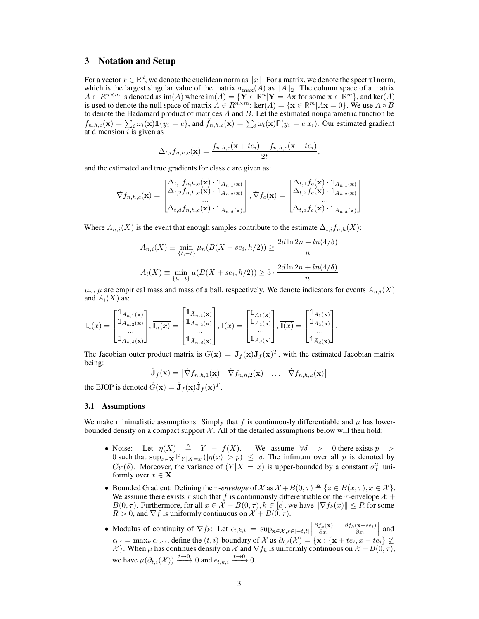# 3 Notation and Setup

For a vector  $x \in \mathbb{R}^d$ , we denote the euclidean norm as  $||x||$ . For a matrix, we denote the spectral norm, which is the largest singular value of the matrix  $\sigma_{\text{max}}(A)$  as  $||A||_2$ . The column space of a matrix  $A \in R^{n \times m}$  is denoted as  $\text{im}(A)$  where  $\text{im}(A) = {\bf{Y} \in \mathbb{R}^n | {\bf{Y}} = A {\bf{x}}}$  for some  ${\bf{x} \in \mathbb{R}^m}$ , and ker $(A)$ is used to denote the null space of matrix  $\hat{A} \in R^{n \times m}$ : ker $(A) = \{ \mathbf{x} \in \mathbb{R}^m | A\mathbf{x} = 0 \}$ . We use  $A \circ B$  to denote the Hadamard product of matrices A and B. Let the estimated nonparametric function be  $f_{n,h,c}(\mathbf{x}) = \sum_i \omega_i(\mathbf{x}) \mathbb{1}\{y_i = c\}$ , and  $\tilde{f}_{n,h,c}(\mathbf{x}) = \sum_i \omega_i(\mathbf{x}) \mathbb{P}(y_i = c | x_i)$ . Our estimated gradient at dimension  $i$  is given as

$$
\Delta_{t,i} f_{n,h,c}(\mathbf{x}) = \frac{f_{n,h,c}(\mathbf{x} + te_i) - f_{n,h,c}(\mathbf{x} - te_i)}{2t},
$$

and the estimated and true gradients for class  $c$  are given as:

$$
\hat{\nabla} f_{n,h,c}(\mathbf{x}) = \begin{bmatrix} \Delta_{t,1} f_{n,h,c}(\mathbf{x}) \cdot \mathbb{1}_{A_{n,1}(\mathbf{x})} \\ \Delta_{t,2} f_{n,h,c}(\mathbf{x}) \cdot \mathbb{1}_{A_{n,2}(\mathbf{x})} \\ \dots \\ \Delta_{t,d} f_{n,h,c}(\mathbf{x}) \cdot \mathbb{1}_{A_{n,d}(\mathbf{x})} \end{bmatrix}, \hat{\nabla} f_c(\mathbf{x}) = \begin{bmatrix} \Delta_{t,1} f_c(\mathbf{x}) \cdot \mathbb{1}_{A_{n,1}(\mathbf{x})} \\ \Delta_{t,2} f_c(\mathbf{x}) \cdot \mathbb{1}_{A_{n,2}(\mathbf{x})} \\ \dots \\ \Delta_{t,d} f_c(\mathbf{x}) \cdot \mathbb{1}_{A_{n,d}(\mathbf{x})} \end{bmatrix}
$$

Where  $A_{n,i}(X)$  is the event that enough samples contribute to the estimate  $\Delta_{t,i} f_{n,h}(X)$ :

$$
A_{n,i}(X) \equiv \min_{\{t,-t\}} \mu_n(B(X + s e_i, h/2)) \ge \frac{2d \ln 2n + \ln(4/\delta)}{n}
$$

$$
A_i(X) \equiv \min_{\{t,-t\}} \mu(B(X + s e_i, h/2)) \ge 3 \cdot \frac{2d \ln 2n + \ln(4/\delta)}{n}
$$

 $\mu_n$ ,  $\mu$  are empirical mass and mass of a ball, respectively. We denote indicators for events  $A_{n,i}(X)$ and  $A_i(X)$  as:

$$
\mathbb{I}_n(x) = \begin{bmatrix} \mathbb{1}_{A_{n,1}(\mathbf{x})} \\ \mathbb{1}_{A_{n,2}(\mathbf{x})} \\ \dots \\ \mathbb{1}_{A_{n,d}(\mathbf{x})} \end{bmatrix}, \overline{\mathbb{I}_n(x)} = \begin{bmatrix} \mathbb{1}_{\bar{A}_{n,1}(\mathbf{x})} \\ \mathbb{1}_{\bar{A}_{n,2}(\mathbf{x})} \\ \dots \\ \mathbb{1}_{\bar{A}_{n,d}(\mathbf{x})} \end{bmatrix}, \mathbb{I}(x) = \begin{bmatrix} \mathbb{1}_{A_1(\mathbf{x})} \\ \mathbb{1}_{A_2(\mathbf{x})} \\ \dots \\ \mathbb{1}_{A_d(\mathbf{x})} \end{bmatrix}, \overline{\mathbb{I}(x)} = \begin{bmatrix} \mathbb{1}_{\bar{A}_1(\mathbf{x})} \\ \mathbb{1}_{\bar{A}_2(\mathbf{x})} \\ \dots \\ \mathbb{1}_{\bar{A}_d(\mathbf{x})} \end{bmatrix}.
$$

The Jacobian outer product matrix is  $G(\mathbf{x}) = \mathbf{J}_f(\mathbf{x})\mathbf{J}_f(\mathbf{x})^T$ , with the estimated Jacobian matrix being:

$$
\hat{\mathbf{J}}_f(\mathbf{x}) = \begin{bmatrix} \hat{\nabla} f_{n,h,1}(\mathbf{x}) & \hat{\nabla} f_{n,h,2}(\mathbf{x}) & \dots & \hat{\nabla} f_{n,h,k}(\mathbf{x}) \end{bmatrix}
$$

the EJOP is denoted  $\hat{G}(\mathbf{x}) = \hat{\mathbf{J}}_f(\mathbf{x})\hat{\mathbf{J}}_f(\mathbf{x})^T$ .

#### 3.1 Assumptions

We make minimalistic assumptions: Simply that f is continuously differentiable and  $\mu$  has lowerbounded density on a compact support  $\mathcal{X}$ . All of the detailed assumptions below will then hold:

- Noise: Let  $\eta(X) = Y f(X)$ . We assume  $\forall \delta > 0$  there exists  $p > 0$ 0 such that  $\sup_{x\in\mathbf{X}} \mathbb{P}_{Y|X=x} (|\eta(x)| > p) \leq \delta$ . The infimum over all p is denoted by  $C_Y(\delta)$ . Moreover, the variance of  $(Y|X = x)$  is upper-bounded by a constant  $\sigma_Y^2$  uniformly over  $x \in \mathbf{X}$ .
- Bounded Gradient: Defining the  $\tau$ -envelope of X as  $\mathcal{X} + B(0, \tau) \triangleq \{z \in B(x, \tau), x \in \mathcal{X}\}\.$ We assume there exists  $\tau$  such that f is continuously differentiable on the  $\tau$ -envelope  $\mathcal{X}$  +  $B(0, \tau)$ . Furthermore, for all  $x \in \mathcal{X} + B(0, \tau)$ ,  $k \in [c]$ , we have  $\|\nabla f_k(x)\| \leq R$  for some  $R > 0$ , and  $\nabla f$  is uniformly continuous on  $\mathcal{X} + B(0, \tau)$ .
- Modulus of continuity of  $\nabla f_k$ : Let  $\epsilon_{t,k,i} = \sup_{\mathbf{x} \in \mathcal{X}, s \in [-t,t]} \left| \frac{\mathbf{x}_k}{s^2 + s^2} \right|$  $\partial f_k(\mathbf{x})$  $\frac{f_k(\mathbf{x})}{\partial x_i} - \frac{\partial f_k(\mathbf{x}+se_i)}{\partial x_i}$  $\left. \frac{(\mathbf{x} + s e_i)}{\partial x_i} \right|$  and  $\epsilon_{t,i} = \max_k \epsilon_{t,c,i}$ , define the  $(t,i)$ -boundary of  $\mathcal X$  as  $\partial_{t,i}(\mathcal X) = {\mathbf{x} : \{\mathbf{x} + te_i, x - te_i\}} \nsubseteq$  $\mathcal{X}$ . When  $\mu$  has continues density on  $\mathcal{X}$  and  $\nabla f_k$  is uniformly continuous on  $\mathcal{X} + B(0, \tau)$ , we have  $\mu(\partial_{t,i}(\mathcal{X})) \xrightarrow{t \to 0} 0$  and  $\epsilon_{t,k,i} \xrightarrow{t \to 0} 0$ .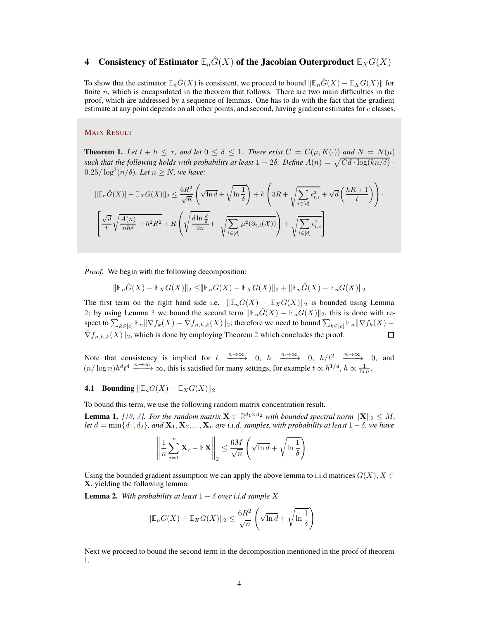# 4 Consistency of Estimator  $\mathbb{E}_n\hat{G}(X)$  of the Jacobian Outerproduct  $\mathbb{E}_XG(X)$

To show that the estimator  $\mathbb{E}_n\hat{G}(X)$  is consistent, we proceed to bound  $\|\mathbb{E}_n\hat{G}(X) - \mathbb{E}_X G(X)\|$  for finite  $n$ , which is encapsulated in the theorem that follows. There are two main difficulties in the proof, which are addressed by a sequence of lemmas. One has to do with the fact that the gradient estimate at any point depends on all other points, and second, having gradient estimates for c classes.

### MAIN RESULT

<span id="page-3-1"></span>**Theorem 1.** Let  $t + h \leq \tau$ , and let  $0 \leq \delta \leq 1$ . There exist  $C = C(\mu, K(\cdot))$  and  $N = N(\mu)$ *such that the following holds with probability at least*  $1 - 2\delta$ . Define  $A(n) = \sqrt{Cd \cdot \log(kn/\delta)}$ .  $0.25/\log^2(n/\delta)$ *. Let*  $n \geq N$ *, we have:* 

$$
\|\mathbb{E}_n\hat{G}(X)\| - \mathbb{E}_X G(X)\|_2 \le \frac{6R^2}{\sqrt{n}} \left(\sqrt{\ln d} + \sqrt{\ln \frac{1}{\delta}}\right) + k \left(3R + \sqrt{\sum_{i \in [d]} \epsilon_{t,i}^2} + \sqrt{d}\left(\frac{hR + 1}{t}\right)\right).
$$

$$
\left[\frac{\sqrt{d}}{t} \sqrt{\frac{A(n)}{nh^d} + h^2 R^2} + R \left(\sqrt{\frac{d \ln \frac{d}{\delta}}{2n}} + \sqrt{\sum_{i \in [d]} \mu^2(\partial_{t,i}(\mathcal{X}))}\right) + \sqrt{\sum_{i \in [d]} \epsilon_{t,i}^2}\right]
$$

*Proof.* We begin with the following decomposition:

$$
\|\mathbb{E}_n\hat{G}(X) - \mathbb{E}_X G(X)\|_2 \le \|\mathbb{E}_n G(X) - \mathbb{E}_X G(X)\|_2 + \|\mathbb{E}_n\hat{G}(X) - \mathbb{E}_n G(X)\|_2
$$

The first term on the right hand side i.e.  $\|\mathbb{E}_nG(X) - \mathbb{E}_XG(X)\|_2$  is bounded using Lemma [2;](#page-3-0) by using Lemma [3](#page-4-0) we bound the second term  $\|\mathbb{E}_n\hat{G}(X) - \mathbb{E}_nG(X)\|_2$ , this is done with respect to  $\sum_{k\in [c]} \mathbb{E}_n \| \nabla f_k(X) - \hat{\nabla} f_{n,h,k}(X) \|_2$ ; therefore we need to bound  $\sum_{k\in [c]} \mathbb{E}_n \| \nabla f_k(X) \hat{\nabla} f_{n,h,k}(X)$ <sub>[2](#page-9-0)</sub>, which is done by employing Theorem 2 which concludes the proof.  $\Box$ 

Note that consistency is implied for  $t \xrightarrow{n \to \infty} 0$ ,  $h \xrightarrow{n \to \infty} 0$ ,  $h/t^2 \xrightarrow{n \to \infty} 0$ , and  $(n/\log n)h^dt^4 \xrightarrow{n\to\infty} \infty$ , this is satisfied for many settings, for example  $t \propto h^{1/4}$ ,  $h \propto \frac{1}{\ln n}$ .

**4.1** Bounding  $\|\mathbb{E}_nG(X) - \mathbb{E}_XG(X)\|_2$ 

To bound this term, we use the following random matrix concentration result.

**Lemma 1.** [\[18,](#page-15-3) [3\]](#page-14-3). For the random matrix  $\mathbf{X} \in \mathbb{R}^{d_1 \times d_2}$  with bounded spectral norm  $\|\mathbf{X}\|_2 \leq M$ , *let*  $d = \min\{d_1, d_2\}$ , and  $\mathbf{X}_1, \mathbf{X}_2, ..., \mathbf{X}_n$  are *i.i.d.* samples, with probability at least  $1 - \delta$ , we have

$$
\left\| \frac{1}{n} \sum_{i=1}^{n} \mathbf{X}_{i} - \mathbb{E} \mathbf{X} \right\|_{2} \leq \frac{6M}{\sqrt{n}} \left( \sqrt{\ln d} + \sqrt{\ln \frac{1}{\delta}} \right)
$$

Using the bounded gradient assumption we can apply the above lemma to i.i.d matrices  $G(X)$ ,  $X \in$ X, yielding the following lemma.

<span id="page-3-0"></span>**Lemma 2.** With probability at least  $1 - \delta$  over i.i.d sample X

$$
\|\mathbb{E}_n G(X) - \mathbb{E}_X G(X)\|_2 \le \frac{6R^2}{\sqrt{n}} \left(\sqrt{\ln d} + \sqrt{\ln \frac{1}{\delta}}\right)
$$

Next we proceed to bound the second term in the decomposition mentioned in the proof of theorem [1.](#page-3-1)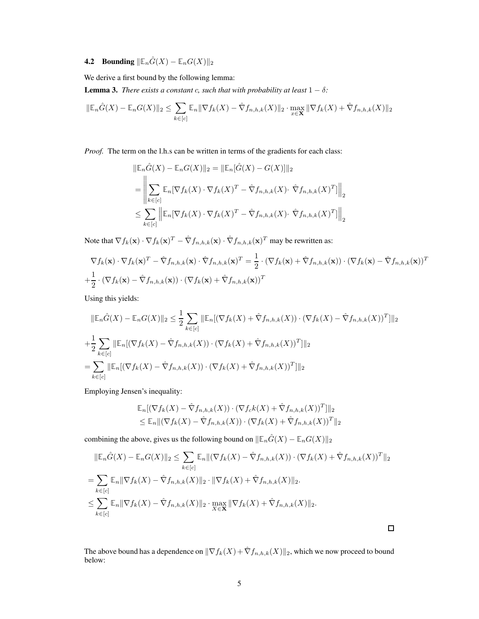# **4.2** Bounding  $\|\mathbb{E}_n\hat{G}(X) - \mathbb{E}_nG(X)\|_2$

We derive a first bound by the following lemma:

<span id="page-4-0"></span>**Lemma 3.** *There exists a constant c, such that with probability at least*  $1 - \delta$ *:* 

$$
\|\mathbb{E}_n\hat{G}(X) - \mathbb{E}_n G(X)\|_2 \le \sum_{k \in [c]} \mathbb{E}_n \|\nabla f_k(X) - \hat{\nabla} f_{n,h,k}(X)\|_2 \cdot \max_{x \in \mathbf{X}} \|\nabla f_k(X) + \hat{\nabla} f_{n,h,k}(X)\|_2
$$

*Proof.* The term on the l.h.s can be written in terms of the gradients for each class:

$$
\|\mathbb{E}_n \hat{G}(X) - \mathbb{E}_n G(X)\|_2 = \|\mathbb{E}_n[\hat{G}(X) - G(X)]\|_2
$$
  
\n
$$
= \left\|\sum_{k \in [c]} \mathbb{E}_n[\nabla f_k(X) \cdot \nabla f_k(X)^T - \hat{\nabla} f_{n,h,k}(X) \cdot \hat{\nabla} f_{n,h,k}(X)^T] \right\|_2
$$
  
\n
$$
\leq \sum_{k \in [c]} \left\|\mathbb{E}_n[\nabla f_k(X) \cdot \nabla f_k(X)^T - \hat{\nabla} f_{n,h,k}(X) \cdot \hat{\nabla} f_{n,h,k}(X)^T] \right\|_2
$$

Note that  $\nabla f_k(\mathbf{x}) \cdot \nabla f_k(\mathbf{x})^T - \hat{\nabla} f_{n,h,k}(\mathbf{x}) \cdot \hat{\nabla} f_{n,h,k}(\mathbf{x})^T$  may be rewritten as:

$$
\nabla f_k(\mathbf{x}) \cdot \nabla f_k(\mathbf{x})^T - \hat{\nabla} f_{n,h,k}(\mathbf{x}) \cdot \hat{\nabla} f_{n,h,k}(\mathbf{x})^T = \frac{1}{2} \cdot (\nabla f_k(\mathbf{x}) + \hat{\nabla} f_{n,h,k}(\mathbf{x})) \cdot (\nabla f_k(\mathbf{x}) - \hat{\nabla} f_{n,h,k}(\mathbf{x}))^T
$$
  
+  $\frac{1}{2} \cdot (\nabla f_k(\mathbf{x}) - \hat{\nabla} f_{n,h,k}(\mathbf{x})) \cdot (\nabla f_k(\mathbf{x}) + \hat{\nabla} f_{n,h,k}(\mathbf{x}))^T$ 

Using this yields:

$$
\|\mathbb{E}_n \hat{G}(X) - \mathbb{E}_n G(X)\|_2 \leq \frac{1}{2} \sum_{k \in [c]} \|\mathbb{E}_n[(\nabla f_k(X) + \hat{\nabla} f_{n,h,k}(X)) \cdot (\nabla f_k(X) - \hat{\nabla} f_{n,h,k}(X))^T] \|_2
$$
  
+ 
$$
\frac{1}{2} \sum_{k \in [c]} \|\mathbb{E}_n[(\nabla f_k(X) - \hat{\nabla} f_{n,h,k}(X)) \cdot (\nabla f_k(X) + \hat{\nabla} f_{n,h,k}(X))^T] \|_2
$$
  
= 
$$
\sum_{k \in [c]} \|\mathbb{E}_n[(\nabla f_k(X) - \hat{\nabla} f_{n,h,k}(X)) \cdot (\nabla f_k(X) + \hat{\nabla} f_{n,h,k}(X))^T] \|_2
$$

Employing Jensen's inequality:

$$
\mathbb{E}_n[(\nabla f_k(X) - \hat{\nabla} f_{n,h,k}(X)) \cdot (\nabla f_c k(X) + \hat{\nabla} f_{n,h,k}(X))^T] \|_2
$$
  
\n
$$
\leq \mathbb{E}_n \| (\nabla f_k(X) - \hat{\nabla} f_{n,h,k}(X)) \cdot (\nabla f_k(X) + \hat{\nabla} f_{n,h,k}(X))^T \|_2
$$

combining the above, gives us the following bound on  $\|\mathbb{E}_n\hat{G}(X) - \mathbb{E}_nG(X)\|_2$ 

$$
\|\mathbb{E}_{n}\hat{G}(X) - \mathbb{E}_{n}G(X)\|_{2} \leq \sum_{k \in [c]} \mathbb{E}_{n} \|(\nabla f_{k}(X) - \hat{\nabla} f_{n,h,k}(X)) \cdot (\nabla f_{k}(X) + \hat{\nabla} f_{n,h,k}(X))^{T} \|_{2}
$$
  
\n
$$
= \sum_{k \in [c]} \mathbb{E}_{n} \|\nabla f_{k}(X) - \hat{\nabla} f_{n,h,k}(X)\|_{2} \cdot \|\nabla f_{k}(X) + \hat{\nabla} f_{n,h,k}(X)\|_{2}.
$$
  
\n
$$
\leq \sum_{k \in [c]} \mathbb{E}_{n} \|\nabla f_{k}(X) - \hat{\nabla} f_{n,h,k}(X)\|_{2} \cdot \max_{X \in \mathbf{X}} \|\nabla f_{k}(X) + \hat{\nabla} f_{n,h,k}(X)\|_{2}.
$$

The above bound has a dependence on  $\|\nabla f_k(X) + \hat{\nabla} f_{n,h,k}(X)\|_2$ , which we now proceed to bound below:

 $\Box$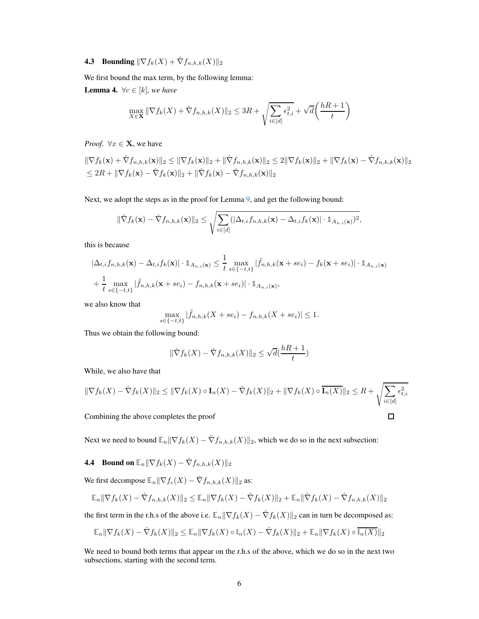# **4.3** Bounding  $\|\nabla f_k(X) + \hat{\nabla} f_{n,h,k}(X)\|_2$

We first bound the max term, by the following lemma:

**Lemma 4.**  $\forall c \in [k]$ *, we have* 

$$
\max_{X \in \mathbf{X}} \|\nabla f_k(X) + \hat{\nabla} f_{n,h,k}(X)\|_2 \le 3R + \sqrt{\sum_{i \in [d]} \epsilon_{t,i}^2} + \sqrt{d} \left(\frac{hR + 1}{t}\right)
$$

*Proof.*  $\forall x \in \mathbf{X}$ , we have

 $\|\nabla f_k(\mathbf{x}) + \hat{\nabla} f_{n,h,k}(\mathbf{x})\|_2 \le \|\nabla f_k(\mathbf{x})\|_2 + \|\hat{\nabla} f_{n,h,k}(\mathbf{x})\|_2 \le 2\|\nabla f_k(\mathbf{x})\|_2 + \|\nabla f_k(\mathbf{x}) - \hat{\nabla} f_{n,h,k}(\mathbf{x})\|_2$  $\leq 2R + \|\nabla f_k(\mathbf{x}) - \hat{\nabla} f_k(\mathbf{x})\|_2 + \|\hat{\nabla} f_k(\mathbf{x}) - \hat{\nabla} f_{n,h,k}(\mathbf{x})\|_2$ 

Next, we adopt the steps as in the proof for Lemma [9,](#page-8-0) and get the following bound:

$$
\|\hat{\nabla} f_k(\mathbf{x}) - \hat{\nabla} f_{n,h,k}(\mathbf{x})\|_2 \leq \sqrt{\sum_{i \in [d]} (|\Delta_{t,i} f_{n,h,k}(\mathbf{x}) - \Delta_{t,i} f_k(\mathbf{x})| \cdot \mathbb{1}_{A_{n,i}(\mathbf{x})})^2},
$$

this is because

$$
\begin{aligned} & \left| \Delta_{t,i} f_{n,h,k}(\mathbf{x}) - \Delta_{t,i} f_k(\mathbf{x}) \right| \cdot \mathbb{1}_{A_{n,i}(\mathbf{x})} \leq \frac{1}{t} \max_{s \in \{-t,t\}} \left| \tilde{f}_{n,h,k}(\mathbf{x} + s e_i) - f_k(\mathbf{x} + s e_i) \right| \cdot \mathbb{1}_{A_{n,i}(\mathbf{x})} \\ & + \frac{1}{t} \max_{s \in \{-t,t\}} \left| \tilde{f}_{n,h,k}(\mathbf{x} + s e_i) - f_{n,h,k}(\mathbf{x} + s e_i) \right| \cdot \mathbb{1}_{A_{n,i}(\mathbf{x})}, \end{aligned}
$$

we also know that

$$
\max_{s \in \{-t,t\}} |\tilde{f}_{n,h,k}(X + s e_i) - f_{n,h,k}(X + s e_i)| \le 1.
$$

Thus we obtain the following bound:

$$
\|\hat{\nabla}f_k(X) - \hat{\nabla}f_{n,h,k}(X)\|_2 \le \sqrt{d}(\frac{hR+1}{t})
$$

While, we also have that

$$
\|\nabla f_k(X) - \hat{\nabla} f_k(X)\|_2 \le \|\nabla f_k(X) \circ \mathbf{I}_n(X) - \hat{\nabla} f_k(X)\|_2 + \|\nabla f_k(X) \circ \overline{\mathbf{I}_n(X)}\|_2 \le R + \sqrt{\sum_{i \in [d]} \epsilon_{t,i}^2}
$$
  
Combining the above completes the proof

Combining the above completes the proof

Next we need to bound  $\mathbb{E}_n || \nabla f_k(X) - \hat{\nabla} f_{n,h,k}(X) ||_2$ , which we do so in the next subsection:

# **4.4** Bound on  $\mathbb{E}_n || \nabla f_k(X) - \hat{\nabla} f_{n,h,k}(X) ||_2$

We first decompose  $\mathbb{E}_n || \nabla f_c(X) - \hat{\nabla} f_{n,h,k}(X)||_2$  as:

$$
\mathbb{E}_n \|\nabla f_k(X) - \hat{\nabla} f_{n,h,k}(X)\|_2 \le \mathbb{E}_n \|\nabla f_k(X) - \hat{\nabla} f_k(X)\|_2 + \mathbb{E}_n \|\hat{\nabla} f_k(X) - \hat{\nabla} f_{n,h,k}(X)\|_2
$$

the first term in the r.h.s of the above i.e.  $\mathbb{E}_n || \nabla f_k(X) - \hat{\nabla} f_k(X)||_2$  can in turn be decomposed as:

$$
\mathbb{E}_n \|\nabla f_k(X) - \hat{\nabla} f_k(X)\|_2 \le \mathbb{E}_n \|\nabla f_k(X) \circ \mathbb{I}_n(X) - \hat{\nabla} f_k(X)\|_2 + \mathbb{E}_n \|\nabla f_k(X) \circ \overline{\mathbb{I}_n(X)}\|_2
$$

We need to bound both terms that appear on the r.h.s of the above, which we do so in the next two subsections, starting with the second term.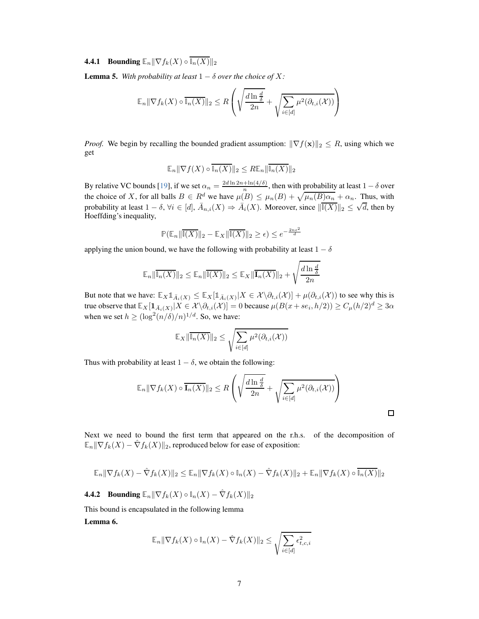# **4.4.1** Bounding  $\mathbb{E}_n || \nabla f_k(X) \circ \overline{\mathbb{I}_n(X)} ||_2$

<span id="page-6-0"></span>**Lemma 5.** With probability at least  $1 - \delta$  over the choice of X:

$$
\mathbb{E}_n \|\nabla f_k(X) \circ \overline{\mathbb{I}_n(X)}\|_2 \le R \left( \sqrt{\frac{d \ln \frac{d}{\delta}}{2n}} + \sqrt{\sum_{i \in [d]} \mu^2(\partial_{t,i}(X))} \right)
$$

*Proof.* We begin by recalling the bounded gradient assumption:  $\|\nabla f(\mathbf{x})\|_2 \leq R$ , using which we get

$$
\mathbb{E}_n || \nabla f(X) \circ \overline{\mathbb{I}_n(X)} ||_2 \leq R \mathbb{E}_n || \overline{\mathbb{I}_n(X)} ||_2
$$

By relative VC bounds [19], if we set  $\alpha_n = \frac{2d \ln 2n + \ln(4/\delta)}{n}$  $\frac{1+\ln(4/\theta)}{n}$ , then with probability at least  $1-\delta$  over the choice of X, for all balls  $B \in R^d$  we have  $\mu(B) \leq \mu_n(B) + \sqrt{\mu_n(B)\alpha_n} + \alpha_n$ . Thus, with probability at least  $1 - \delta$ ,  $\forall i \in [d]$ ,  $\overline{A}_{n,i}(X) \Rightarrow \overline{A}_i(X)$ . Moreover, since  $\|\overline{\mathfrak{I}(X)}\|_2 \leq \sqrt{d}$ , then by Hoeffding's inequality,

$$
\mathbb{P}(\mathbb{E}_n \|\overline{\mathbb{I}(X)}\|_2 - \mathbb{E}_X \|\overline{\mathbb{I}(X)}\|_2 \ge \epsilon) \le e^{-\frac{2n\epsilon^2}{d}}
$$

applying the union bound, we have the following with probability at least  $1 - \delta$ 

$$
\mathbb{E}_n \|\overline{\mathbb{I}_n(X)}\|_2 \le \mathbb{E}_n \|\overline{\mathbb{I}(X)}\|_2 \le \mathbb{E}_X \|\overline{\mathbf{I}_n(X)}\|_2 + \sqrt{\frac{d\ln\frac{d}{\delta}}{2n}}
$$

But note that we have:  $\mathbb{E}_X \mathbb{1}_{\bar{A}_i(X)} \leq \mathbb{E}_X [\mathbb{1}_{\bar{A}_i(X)} | X \in \mathcal{X} \setminus \partial_{t,i}(\mathcal{X})] + \mu(\partial_{t,i}(\mathcal{X}))$  to see why this is true observe that  $\mathbb{E}_X[\mathbf{1}_{\bar{A}_i(X)}|X \in \mathcal{X} \setminus \partial_{t,i}(\mathcal{X})] = 0$  because  $\mu(B(x + s e_i, h/2)) \ge C_\mu(h/2)^d \ge 3\alpha$ when we set  $h \geq (\log^2(n/\delta)/n)^{1/d}$ . So, we have:

$$
\mathbb{E}_X \|\overline{\mathbb{I}_n(X)}\|_2 \leq \sqrt{\sum_{i \in [d]} \mu^2(\partial_{t,i}(\mathcal{X}))}
$$

Thus with probability at least  $1 - \delta$ , we obtain the following:

$$
\mathbb{E}_n \|\nabla f_k(X) \circ \overline{\mathbf{I}_n(X)}\|_2 \le R \left( \sqrt{\frac{d \ln \frac{d}{\delta}}{2n}} + \sqrt{\sum_{i \in [d]} \mu^2(\partial_{t,i}(\mathcal{X}))} \right)
$$

Next we need to bound the first term that appeared on the r.h.s. of the decomposition of  $\mathbb{E}_n || \nabla f_k(X) - \nabla f_k(X)||_2$ , reproduced below for ease of exposition:

$$
\mathbb{E}_n \|\nabla f_k(X) - \hat{\nabla} f_k(X)\|_2 \le \mathbb{E}_n \|\nabla f_k(X) \circ \mathbb{I}_n(X) - \hat{\nabla} f_k(X)\|_2 + \mathbb{E}_n \|\nabla f_k(X) \circ \overline{\mathbb{I}_n(X)}\|_2
$$

**4.4.2** Bounding  $\mathbb{E}_n || \nabla f_k(X) \circ \mathbb{I}_n(X) - \hat{\nabla} f_k(X) ||_2$ 

<span id="page-6-1"></span>This bound is encapsulated in the following lemma Lemma 6.

$$
\mathbb{E}_n \|\nabla f_k(X) \circ \mathbb{I}_n(X) - \hat{\nabla} f_k(X)\|_2 \leq \sqrt{\sum_{i \in [d]} \epsilon_{t,c,i}^2}
$$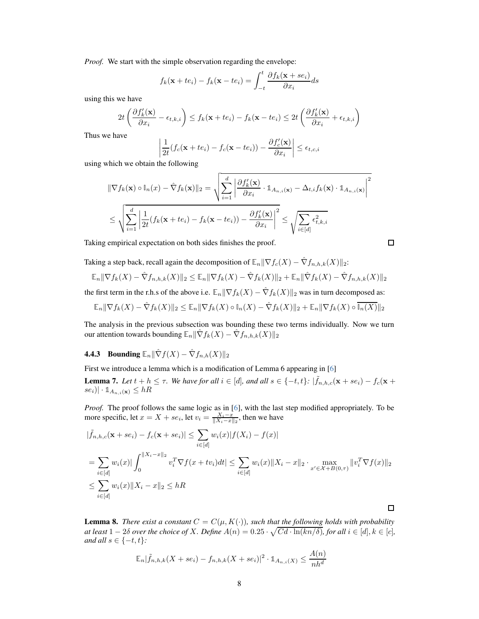*Proof.* We start with the simple observation regarding the envelope:

$$
f_k(\mathbf{x} + te_i) - f_k(\mathbf{x} - te_i) = \int_{-t}^{t} \frac{\partial f_k(\mathbf{x} + se_i)}{\partial x_i} ds
$$

using this we have

$$
2t\left(\frac{\partial f_k'(\mathbf{x})}{\partial x_i} - \epsilon_{t,k,i}\right) \le f_k(\mathbf{x} + t\epsilon_i) - f_k(\mathbf{x} - t\epsilon_i) \le 2t\left(\frac{\partial f_k'(\mathbf{x})}{\partial x_i} + \epsilon_{t,k,i}\right)
$$

Thus we have

$$
\left|\frac{1}{2t}(f_c(\mathbf{x}+te_i)-f_c(\mathbf{x}-te_i))-\frac{\partial f_c'(\mathbf{x})}{\partial x_i}\right|\leq \epsilon_{t,c,i}
$$

using which we obtain the following

$$
\|\nabla f_k(\mathbf{x}) \circ \mathbb{I}_n(x) - \hat{\nabla} f_k(\mathbf{x})\|_2 = \sqrt{\sum_{i=1}^d \left| \frac{\partial f'_k(\mathbf{x})}{\partial x_i} \cdot \mathbb{1}_{A_{n,i}(\mathbf{x})} - \Delta_{t,i} f_k(\mathbf{x}) \cdot \mathbb{1}_{A_{n,i}(\mathbf{x})} \right|^2}
$$

$$
\leq \sqrt{\sum_{i=1}^d \left| \frac{1}{2t} (f_k(\mathbf{x} + te_i) - f_k(\mathbf{x} - te_i)) - \frac{\partial f'_k(\mathbf{x})}{\partial x_i} \right|^2} \leq \sqrt{\sum_{i \in [d]} \epsilon_{t,k,i}^2}
$$

Taking empirical expectation on both sides finishes the proof.

$$
\Box
$$

 $\Box$ 

Taking a step back, recall again the decomposition of  $\mathbb{E}_n || \nabla f_c(X) - \hat{\nabla} f_{n,h,k}(X)||_2$ :

$$
\mathbb{E}_n \|\nabla f_k(X) - \hat{\nabla} f_{n,h,k}(X)\|_2 \le \mathbb{E}_n \|\nabla f_k(X) - \hat{\nabla} f_k(X)\|_2 + \mathbb{E}_n \|\hat{\nabla} f_k(X) - \hat{\nabla} f_{n,h,k}(X)\|_2
$$

the first term in the r.h.s of the above i.e.  $\mathbb{E}_n \|\nabla f_k(X) - \hat{\nabla} f_k(X)\|_2$  was in turn decomposed as:

$$
\mathbb{E}_n \|\nabla f_k(X) - \hat{\nabla} f_k(X)\|_2 \le \mathbb{E}_n \|\nabla f_k(X) \circ \mathbb{I}_n(X) - \hat{\nabla} f_k(X)\|_2 + \mathbb{E}_n \|\nabla f_k(X) \circ \overline{\mathbb{I}_n(X)}\|_2
$$

The analysis in the previous subsection was bounding these two terms individually. Now we turn our attention towards bounding  $\mathbb{E}_n \|\nabla f_k(X) - \nabla f_{n,h,k}(X)\|_2$ 

# **4.4.3** Bounding  $\mathbb{E}_n \|\hat{\nabla} f(X) - \hat{\nabla} f_{n,h}(X)\|_2$

First we introduce a lemma which is a modification of Lemma 6 appearing in [6]

**Lemma 7.** Let  $t + h \leq \tau$ . We have for all  $i \in [d]$ , and all  $s \in \{-t, t\}$ :  $|\tilde{f}_{n,h,c}(\mathbf{x} + s e_i) - f_c(\mathbf{x} + s e_i)|$  $|se_i\rangle | \cdot 1_{A_{n,i}(\mathbf{x})} \leq hR$ 

*Proof.* The proof follows the same logic as in [6], with the last step modified appropriately. To be more specific, let  $x = X + s e_i$ , let  $v_i = \frac{X_i - x}{\|X_i - x\|_2}$ , then we have

$$
|\tilde{f}_{n,h,c}(\mathbf{x} + s e_i) - f_c(\mathbf{x} + s e_i)| \leq \sum_{i \in [d]} w_i(x)|f(X_i) - f(x)|
$$
  
= 
$$
\sum_{i \in [d]} w_i(x)| \int_0^{||X_i - x||_2} v_i^T \nabla f(x + tv_i) dt| \leq \sum_{i \in [d]} w_i(x) ||X_i - x||_2 \cdot \max_{x' \in \mathcal{X} + B(0,\tau)} ||v_i^T \nabla f(x)||_2
$$
  

$$
\leq \sum_{i \in [d]} w_i(x) ||X_i - x||_2 \leq hR
$$

**Lemma 8.** *There exist a constant*  $C = C(\mu, K(\cdot))$ *, such that the following holds with probability at least*  $1 - 2\delta$  *over the choice of X. Define*  $A(n) = 0.25 \cdot \sqrt{Cd \cdot \ln(kn/\delta)}$ , for all  $i \in [d], k \in [c]$ , *and all*  $s \in \{-t, t\}$ *:* 

$$
\mathbb{E}_n|\tilde{f}_{n,h,k}(X+se_i)-f_{n,h,k}(X+se_i)|^2 \cdot \mathbb{1}_{A_{n,i}(X)} \le \frac{A(n)}{nh^d}
$$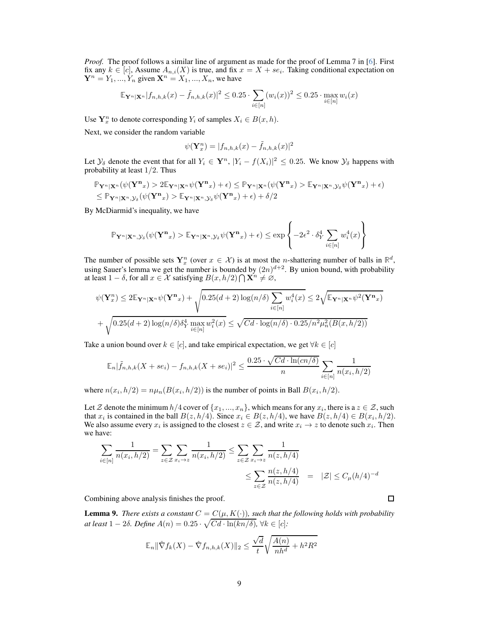*Proof.* The proof follows a similar line of argument as made for the proof of Lemma 7 in [6]. First fix any  $k \in [c]$ , Assume  $A_{n,i}(X)$  is true, and fix  $x = X + s e_i$ . Taking conditional expectation on  $\mathbf{Y}^n = Y_1, ..., Y_n$  given  $\mathbf{X}^n = X_1, ..., X_n$ , we have

$$
\mathbb{E}_{\mathbf{Y}^n|\mathbf{X}^n} |f_{n,h,k}(x) - \tilde{f}_{n,h,k}(x)|^2 \le 0.25 \cdot \sum_{i \in [n]} (w_i(x))^2 \le 0.25 \cdot \max_{i \in [n]} w_i(x)
$$

Use  $Y_x^n$  to denote corresponding  $Y_i$  of samples  $X_i \in B(x, h)$ .

Next, we consider the random variable

$$
\psi(\mathbf{Y}_x^n) = |f_{n,h,k}(x) - \tilde{f}_{n,h,k}(x)|^2
$$

Let  $\mathcal{Y}_{\delta}$  denote the event that for all  $Y_i \in \mathbf{Y}^n$ ,  $|Y_i - f(X_i)|^2 \leq 0.25$ . We know  $\mathcal{Y}_{\delta}$  happens with probability at least  $1/2$ . Thus

$$
\mathbb{P}_{\mathbf{Y}^n|\mathbf{X}^n}(\psi(\mathbf{Y}^\mathbf{n}_x) > 2\mathbb{E}_{\mathbf{Y}^n|\mathbf{X}^n}\psi(\mathbf{Y}^\mathbf{n}_x) + \epsilon) \leq \mathbb{P}_{\mathbf{Y}^n|\mathbf{X}^n}(\psi(\mathbf{Y}^\mathbf{n}_x) > \mathbb{E}_{\mathbf{Y}^n|\mathbf{X}^n, \mathcal{Y}_\delta}\psi(\mathbf{Y}^\mathbf{n}_x) + \epsilon) \leq \mathbb{P}_{\mathbf{Y}^n|\mathbf{X}^n, \mathcal{Y}_\delta}(\psi(\mathbf{Y}^\mathbf{n}_x) > \mathbb{E}_{\mathbf{Y}^n|\mathbf{X}^n, \mathcal{Y}_\delta}\psi(\mathbf{Y}^\mathbf{n}_x) + \epsilon) + \delta/2
$$

By McDiarmid's inequality, we have

$$
\mathbb{P}_{\mathbf{Y}^n|\mathbf{X}^n,\mathcal{Y}_\delta}(\psi(\mathbf{Y}^\mathbf{n}_x) > \mathbb{E}_{\mathbf{Y}^n|\mathbf{X}^n,\mathcal{Y}_\delta}\psi(\mathbf{Y}^\mathbf{n}_x) + \epsilon) \le \exp\left\{-2\epsilon^2 \cdot \delta_Y^4 \sum_{i \in [n]} w_i^4(x)\right\}
$$

The number of possible sets  $Y_x^n$  (over  $x \in \mathcal{X}$ ) is at most the *n*-shattering number of balls in  $\mathbb{R}^d$ , using Sauer's lemma we get the number is bounded by  $(2n)^{d+2}$ . By union bound, with probability at least  $1 - \delta$ , for all  $x \in \mathcal{X}$  satisfying  $B(x, h/2) \cap \mathbf{X}^n \neq \emptyset$ ,

$$
\psi(\mathbf{Y}_x^n) \le 2\mathbb{E}_{\mathbf{Y}^n|\mathbf{X}^n}\psi(\mathbf{Y}^{\mathbf{n}}) + \sqrt{0.25(d+2)\log(n/\delta)\sum_{i\in[n]}w_i^4(x)} \le 2\sqrt{\mathbb{E}_{\mathbf{Y}^n|\mathbf{X}^n}\psi^2(\mathbf{Y}^{\mathbf{n}})}
$$

$$
+ \sqrt{0.25(d+2)\log(n/\delta)\delta_Y^4\max_{i\in[n]}w_i^2(x)} \le \sqrt{Cd\cdot\log(n/\delta)\cdot 0.25/n^2\mu_n^2(B(x,h/2))}
$$

Take a union bound over  $k \in [c]$ , and take empirical expectation, we get  $\forall k \in [c]$ 

$$
\mathbb{E}_n|\tilde{f}_{n,h,k}(X + s e_i) - f_{n,h,k}(X + s e_i)|^2 \le \frac{0.25 \cdot \sqrt{C d \cdot \ln(cn/\delta)}}{n} \sum_{i \in [n]} \frac{1}{n(x_i, h/2)}
$$

where  $n(x_i, h/2) = n\mu_n(B(x_i, h/2))$  is the number of points in Ball  $B(x_i, h/2)$ .

Let Z denote the minimum  $h/4$  cover of  $\{x_1, ..., x_n\}$ , which means for any  $x_i$ , there is a  $z \in \mathcal{Z}$ , such that  $x_i$  is contained in the ball  $B(z, h/4)$ . Since  $x_i \in B(z, h/4)$ , we have  $B(z, h/4) \in B(x_i, h/2)$ . We also assume every  $x_i$  is assigned to the closest  $z \in \mathcal{Z}$ , and write  $x_i \to z$  to denote such  $x_i$ . Then we have:

$$
\sum_{i \in [n]} \frac{1}{n(x_i, h/2)} = \sum_{z \in \mathcal{Z}} \sum_{x_i \to z} \frac{1}{n(x_i, h/2)} \le \sum_{z \in \mathcal{Z}} \sum_{x_i \to z} \frac{1}{n(z, h/4)} \le \sum_{z \in \mathcal{Z}} \frac{n(z, h/4)}{n(z, h/4)} = |\mathcal{Z}| \le C_{\mu}(h/4)^{-d}
$$

Combining above analysis finishes the proof.

<span id="page-8-0"></span>**Lemma 9.** There exists a constant  $C = C(\mu, K(\cdot))$ , such that the following holds with probability *at least*  $1 - 2\delta$ *. Define*  $A(n) = 0.25 \cdot \sqrt{Cd \cdot \ln(kn/\delta)}$ ,  $\forall k \in [c]$ *:* 

$$
\mathbb{E}_n \|\hat{\nabla} f_k(X) - \hat{\nabla} f_{n,h,k}(X)\|_2 \leq \frac{\sqrt{d}}{t} \sqrt{\frac{A(n)}{nh^d} + h^2 R^2}
$$

 $\Box$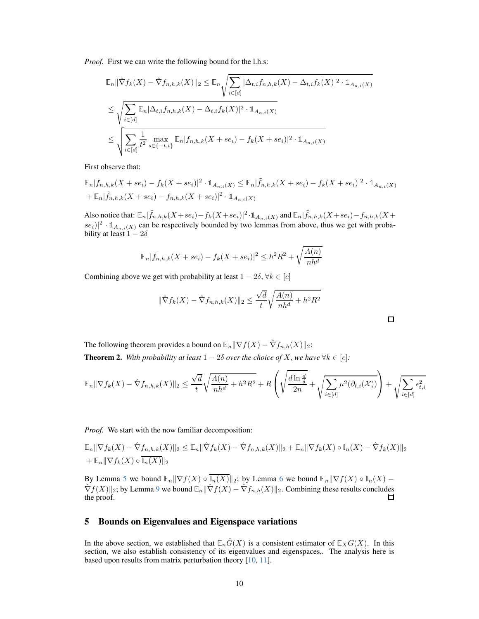*Proof.* First we can write the following bound for the l.h.s:

$$
\mathbb{E}_{n} \|\hat{\nabla} f_{k}(X) - \hat{\nabla} f_{n,h,k}(X)\|_{2} \leq \mathbb{E}_{n} \sqrt{\sum_{i \in [d]} |\Delta_{t,i} f_{n,h,k}(X) - \Delta_{t,i} f_{k}(X)|^{2} \cdot \mathbb{1}_{A_{n,i}(X)}} \\
\leq \sqrt{\sum_{i \in [d]} \mathbb{E}_{n} |\Delta_{t,i} f_{n,h,k}(X) - \Delta_{t,i} f_{k}(X)|^{2} \cdot \mathbb{1}_{A_{n,i}(X)}} \\
\leq \sqrt{\sum_{i \in [d]} \frac{1}{t^{2}} \max_{s \in \{-t,t\}} \mathbb{E}_{n} |f_{n,h,k}(X + s e_{i}) - f_{k}(X + s e_{i})|^{2} \cdot \mathbb{1}_{A_{n,i}(X)}}
$$

First observe that:

$$
\mathbb{E}_{n}|f_{n,h,k}(X+se_{i})-f_{k}(X+se_{i})|^{2} \cdot \mathbb{1}_{A_{n,i}(X)} \leq \mathbb{E}_{n}|\tilde{f}_{n,h,k}(X+se_{i})-f_{k}(X+se_{i})|^{2} \cdot \mathbb{1}_{A_{n,i}(X)} \n+\mathbb{E}_{n}|\tilde{f}_{n,h,k}(X+se_{i})-f_{n,h,k}(X+se_{i})|^{2} \cdot \mathbb{1}_{A_{n,i}(X)}
$$

Also notice that:  $\mathbb{E}_n|\tilde{f}_{n,h,k}(X+se_i)-f_k(X+se_i)|^2\cdot \mathbb{1}_{A_{n,i}(X)}$  and  $\mathbb{E}_n|\tilde{f}_{n,h,k}(X+se_i)-f_{n,h,k}(X+se_i)$  $\{se_i\}^2 \cdot \mathbb{1}_{A_{n,i}(X)}$  can be respectively bounded by two lemmas from above, thus we get with probability at least  $1 - 2\delta$ 

$$
\mathbb{E}_n |f_{n,h,k}(X + s e_i) - f_k(X + s e_i)|^2 \le h^2 R^2 + \sqrt{\frac{A(n)}{nh^d}}
$$

Combining above we get with probability at least  $1 - 2\delta$ ,  $\forall k \in [c]$ 

$$
\|\hat{\nabla}f_k(X) - \hat{\nabla}f_{n,h,k}(X)\|_2 \le \frac{\sqrt{d}}{t} \sqrt{\frac{A(n)}{nh^d} + h^2 R^2}
$$

<span id="page-9-0"></span>The following theorem provides a bound on  $\mathbb{E}_n || \nabla f(X) - \hat{\nabla} f_{n,h}(X) ||_2$ : **Theorem 2.** With probability at least  $1 - 2\delta$  over the choice of X, we have  $\forall k \in [c]$ :

$$
\mathbb{E}_n \|\nabla f_k(X) - \hat{\nabla} f_{n,h,k}(X)\|_2 \le \frac{\sqrt{d}}{t} \sqrt{\frac{A(n)}{nh^d} + h^2 R^2} + R \left( \sqrt{\frac{d \ln \frac{d}{\delta}}{2n}} + \sqrt{\sum_{i \in [d]} \mu^2(\partial_{t,i}(X))} \right) + \sqrt{\sum_{i \in [d]} \epsilon_{t,i}^2}
$$

*Proof.* We start with the now familiar decomposition:

$$
\mathbb{E}_n \|\nabla f_k(X) - \hat{\nabla} f_{n,h,k}(X)\|_2 \le \mathbb{E}_n \|\hat{\nabla} f_k(X) - \hat{\nabla} f_{n,h,k}(X)\|_2 + \mathbb{E}_n \|\nabla f_k(X) \circ \mathbb{I}_n(X) - \hat{\nabla} f_k(X)\|_2
$$
  
+  $\mathbb{E}_n \|\nabla f_k(X) \circ \overline{\mathbb{I}_n(X)}\|_2$ 

By Lemma [5](#page-6-0) we bound  $\mathbb{E}_n \|\nabla f(X) \circ \overline{\mathbb{I}_n(X)}\|_2$ ; by Lemma [6](#page-6-1) we bound  $\mathbb{E}_n \|\nabla f(X) \circ \mathbb{I}_n(X) \hat{\nabla}f(X)\Vert_2$ ; by Lemma [9](#page-8-0) we bound  $\mathbb{E}_n\Vert \hat{\nabla}f(X) - \hat{\nabla}f_{n,h}(X)\Vert_2$ . Combining these results concludes the proof. the proof.

#### 5 Bounds on Eigenvalues and Eigenspace variations

In the above section, we established that  $\mathbb{E}_n\hat{G}(X)$  is a consistent estimator of  $\mathbb{E}_X G(X)$ . In this section, we also establish consistency of its eigenvalues and eigenspaces,. The analysis here is based upon results from matrix perturbation theory [\[10,](#page-15-4) [11\]](#page-15-5).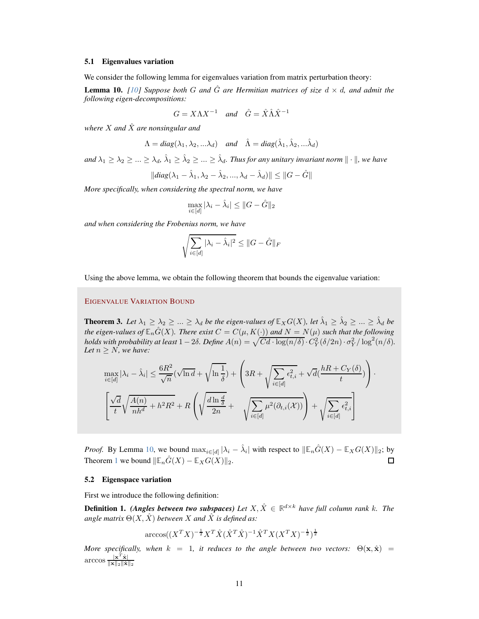#### 5.1 Eigenvalues variation

We consider the following lemma for eigenvalues variation from matrix perturbation theory:

<span id="page-10-0"></span>**Lemma 10.** [\[10\]](#page-15-4) Suppose both G and  $\hat{G}$  are Hermitian matrices of size  $d \times d$ , and admit the *following eigen-decompositions:*

$$
G = X\Lambda X^{-1} \quad and \quad \hat{G} = \hat{X}\hat{\Lambda}\hat{X}^{-1}
$$

*where*  $X$  *and*  $\hat{X}$  *are nonsingular and* 

$$
\Lambda = diag(\lambda_1, \lambda_2, \ldots \lambda_d) \quad and \quad \hat{\Lambda} = diag(\hat{\lambda}_1, \hat{\lambda}_2, \ldots \hat{\lambda}_d)
$$

 $and \lambda_1 \geq \lambda_2 \geq ... \geq \lambda_d$ ,  $\hat{\lambda}_1 \geq \hat{\lambda}_2 \geq ... \geq \hat{\lambda}_d$ . Thus for any unitary invariant norm  $\|\cdot\|$ , we have

$$
||diag(\lambda_1 - \hat{\lambda}_1, \lambda_2 - \hat{\lambda}_2, ..., \lambda_d - \hat{\lambda}_d)|| \leq ||G - \hat{G}||
$$

*More specifically, when considering the spectral norm, we have*

$$
\max_{i \in [d]} |\lambda_i - \hat{\lambda}_i| \le ||G - \hat{G}||_2
$$

*and when considering the Frobenius norm, we have*

$$
\sqrt{\sum_{i \in [d]} |\lambda_i - \hat{\lambda}_i|^2} \leq ||G - \hat{G}||_F
$$

Using the above lemma, we obtain the following theorem that bounds the eigenvalue variation:

### EIGENVALUE VARIATION BOUND

**Theorem 3.** Let  $\lambda_1 \geq \lambda_2 \geq ... \geq \lambda_d$  be the eigen-values of  $\mathbb{E}_X G(X)$ , let  $\hat{\lambda}_1 \geq \hat{\lambda}_2 \geq ... \geq \hat{\lambda}_d$  be *the eigen-values of*  $\mathbb{E}_n\hat{G}(X)$ *. There exist*  $C = C(\mu, K(\cdot))$  *and*  $N = N(\mu)$  *such that the following holds with probability at least*  $1-2\delta$ *. Define*  $A(n) = \sqrt{Cd \cdot \log(n/\delta)} \cdot C_Y^2(\delta/2n) \cdot \sigma_Y^2/\log^2(n/\delta)$ *. Let*  $n \geq N$ *, we have:* 

$$
\max_{i \in [d]} |\lambda_i - \hat{\lambda}_i| \le \frac{6R^2}{\sqrt{n}} (\sqrt{\ln d} + \sqrt{\ln \frac{1}{\delta}}) + \left( 3R + \sqrt{\sum_{i \in [d]} \epsilon_{t,i}^2} + \sqrt{d} (\frac{hR + C_Y(\delta)}{t}) \right) \cdot \left[ \frac{\sqrt{d}}{t} \sqrt{\frac{A(n)}{nh^d} + h^2 R^2} + R \left( \sqrt{\frac{d \ln \frac{d}{\delta}}{2n}} + \sqrt{\sum_{i \in [d]} \mu^2(\partial_{t,i}(\mathcal{X}))} \right) + \sqrt{\sum_{i \in [d]} \epsilon_{t,i}^2} \right]
$$

*Proof.* By Lemma [10,](#page-10-0) we bound  $\max_{i \in [d]} |\lambda_i - \hat{\lambda}_i|$  with respect to  $\|\mathbb{E}_n \hat{G}(X) - \mathbb{E}_X G(X)\|_2$ ; by Theorem [1](#page-3-1) we bound  $\|\mathbb{E}_n\hat{G}(X) - \mathbb{E}_XG(X)\|_2$ .  $\Box$ 

#### 5.2 Eigenspace variation

First we introduce the following definition:

**Definition 1.** *(Angles between two subspaces)* Let  $X, \hat{X} \in \mathbb{R}^{d \times k}$  have full column rank k. The *angle matrix*  $\Theta(X, \hat{X})$  *between* X *and*  $\hat{X}$  *is defined as:* 

$$
\arccos((X^TX)^{-\frac{1}{2}}X^T\hat{X}(\hat{X}^T\hat{X})^{-1}\hat{X}^TX(X^TX)^{-\frac{1}{2}})^{\frac{1}{2}}
$$

*More specifically, when*  $k = 1$ *, it reduces to the angle between two vectors:*  $\Theta(\mathbf{x}, \hat{\mathbf{x}}) =$ arccos  $\frac{\mathbf{x}^T\hat{\mathbf{x}}}{\|\mathbf{x}\|_2 \|\hat{\mathbf{x}}}$  $\|\mathbf{x}\|_2 \|\hat{\mathbf{x}}\|_2$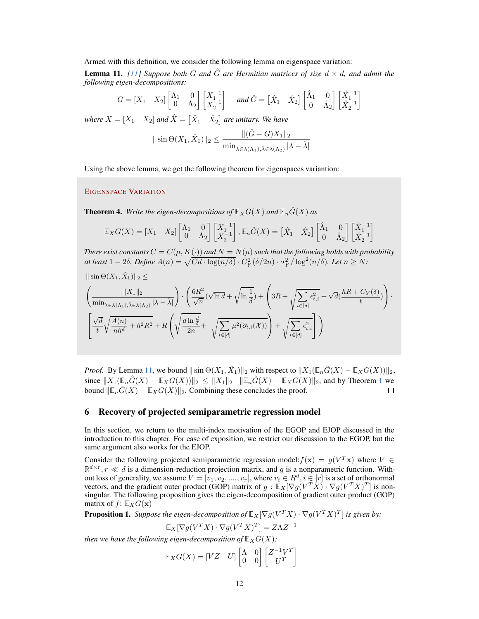Armed with this definition, we consider the following lemma on eigenspace variation:

<span id="page-11-0"></span>**Lemma 11.** [\[11\]](#page-15-5) Suppose both G and  $\hat{G}$  are Hermitian matrices of size  $d \times d$ , and admit the *following eigen-decompositions:*

$$
G = \begin{bmatrix} X_1 & X_2 \end{bmatrix} \begin{bmatrix} \Lambda_1 & 0 \\ 0 & \Lambda_2 \end{bmatrix} \begin{bmatrix} X_1^{-1} \\ X_2^{-1} \end{bmatrix} \quad \text{and } \hat{G} = \begin{bmatrix} \hat{X}_1 & \hat{X}_2 \end{bmatrix} \begin{bmatrix} \hat{\Lambda}_1 & 0 \\ 0 & \hat{\Lambda}_2 \end{bmatrix} \begin{bmatrix} \hat{X}_1^{-1} \\ \hat{X}_2^{-1} \end{bmatrix}
$$

where  $X = \begin{bmatrix} X_1 & X_2 \end{bmatrix}$  and  $\hat{X} = \begin{bmatrix} \hat{X}_1 & \hat{X}_2 \end{bmatrix}$  are unitary. We have

$$
\|\sin\Theta(X_1,\hat{X}_1)\|_2 \le \frac{\|(\hat{G} - G)X_1\|_2}{\min_{\lambda \in \lambda(\Lambda_1), \hat{\lambda} \in \lambda(\Lambda_2)} |\lambda - \hat{\lambda}|}
$$

Using the above lemma, we get the following theorem for eigenspaces variantion:

#### EIGENSPACE VARIATION

<span id="page-11-1"></span>**Theorem 4.** *Write the eigen-decompositions of*  $\mathbb{E}_X G(X)$  *and*  $\mathbb{E}_n \hat{G}(X)$  *as* 

$$
\mathbb{E}_X G(X) = \begin{bmatrix} X_1 & X_2 \end{bmatrix} \begin{bmatrix} \Lambda_1 & 0 \\ 0 & \Lambda_2 \end{bmatrix} \begin{bmatrix} X_1^{-1} \\ X_2^{-1} \end{bmatrix}, \mathbb{E}_n \hat{G}(X) = \begin{bmatrix} \hat{X}_1 & \hat{X}_2 \end{bmatrix} \begin{bmatrix} \hat{\Lambda}_1 & 0 \\ 0 & \hat{\Lambda}_2 \end{bmatrix} \begin{bmatrix} \hat{X}_1^{-1} \\ \hat{X}_2^{-1} \end{bmatrix}
$$

*There exist constants*  $C = C(\mu, K(\cdot))$  *and*  $N = N(\mu)$  *such that the following holds with probability at least*  $1 - 2\delta$ . Define  $A(n) = \sqrt{Cd \cdot \log(n/\delta)} \cdot C_Y^2(\delta/2n) \cdot \sigma_Y^2/\log^2(n/\delta)$ . Let  $n \geq N$ :

$$
\begin{split} &\|\sin\Theta(X_1,\hat{X}_1)\|_2 \leq \\ &\left(\frac{\|X_1\|_2}{\min_{\lambda\in\lambda(\Lambda_1),\hat{\lambda}\in\lambda(\Lambda_2)}|\lambda-\hat{\lambda}|}\right)\cdot\left(\frac{6R^2}{\sqrt{n}}(\sqrt{\ln d}+\sqrt{\ln\frac{1}{\delta}})+\left(3R+\sqrt{\sum\limits_{i\in[d]}\epsilon_{t,i}^2}+\sqrt{d}(\frac{hR+C_Y(\delta)}{t})\right)\cdot\right.\\ &\left.\left[\frac{\sqrt{d}}{t}\sqrt{\frac{A(n)}{nh^d}+h^2R^2}+R\left(\sqrt{\frac{d\ln\frac{d}{\delta}}{2n}}+\sqrt{\sum\limits_{i\in[d]}\mu^2(\partial_{t,i}(\mathcal{X}))}\right)+\sqrt{\sum\limits_{i\in[d]}\epsilon_{t,i}^2}\right]\right) \end{split}
$$

*Proof.* By Lemma [11,](#page-11-0) we bound  $\|\sin \Theta(X_1, \hat{X}_1)\|_2$  with respect to  $\|X_1(\mathbb{E}_n \hat{G}(X) - \mathbb{E}_X G(X))\|_2$ , since  $||X_1(\mathbb{E}_n\hat{G}(X) - \mathbb{E}_XG(X))||_2 \le ||X_1||_2 \cdot ||\mathbb{E}_n\hat{G}(X) - \mathbb{E}_XG(X)||_2$  $||X_1(\mathbb{E}_n\hat{G}(X) - \mathbb{E}_XG(X))||_2 \le ||X_1||_2 \cdot ||\mathbb{E}_n\hat{G}(X) - \mathbb{E}_XG(X)||_2$  $||X_1(\mathbb{E}_n\hat{G}(X) - \mathbb{E}_XG(X))||_2 \le ||X_1||_2 \cdot ||\mathbb{E}_n\hat{G}(X) - \mathbb{E}_XG(X)||_2$ , and by Theorem 1 we bound  $||\mathbb{E}_n\hat{G}(X) - \mathbb{E}_XG(X)||_2$ . Combining these concludes the proof. bound  $\|\mathbb{E}_n\hat{G}(X) - \mathbb{E}_X G(X)\|_2$ . Combining these concludes the proof.

### 6 Recovery of projected semiparametric regression model

In this section, we return to the multi-index motivation of the EGOP and EJOP discussed in the introduction to this chapter. For ease of exposition, we restrict our discussion to the EGOP, but the same argument also works for the EJOP.

Consider the following projected semiparametric regression model:  $f(\mathbf{x}) = g(V^T \mathbf{x})$  where  $V \in$  $\mathbb{R}^{d \times r}$ ,  $r \ll d$  is a dimension-reduction projection matrix, and g is a nonparametric function. Without loss of generality, we assume  $V = [v_1, v_2, \dots, v_r]$ , where  $v_i \in R^d$ ,  $i \in [r]$  is a set of orthonormal vectors, and the gradient outer product (GOP) matrix of  $g : \mathbb{E}_X[\nabla g(V^T X) \cdot \nabla g(V^T X)^T]$  is nonsingular. The following proposition gives the eigen-decomposition of gradient outer product (GOP) matrix of  $f: \mathbb{E}_X G(\mathbf{x})$ 

<span id="page-11-2"></span>**Proposition 1.** Suppose the eigen-decomposition of  $\mathbb{E}_X[\nabla g(V^TX) \cdot \nabla g(V^TX)^T]$  is given by:

$$
\mathbb{E}_X[\nabla g(V^TX)\cdot \nabla g(V^TX)^T]=Z\Lambda Z^{-1}
$$

*then we have the following eigen-decomposition of*  $\mathbb{E}_X G(X)$ *:* 

$$
\mathbb{E}_X G(X) = \begin{bmatrix} VZ & U \end{bmatrix} \begin{bmatrix} \Lambda & 0 \\ 0 & 0 \end{bmatrix} \begin{bmatrix} Z^{-1}V^T \\ U^T \end{bmatrix}
$$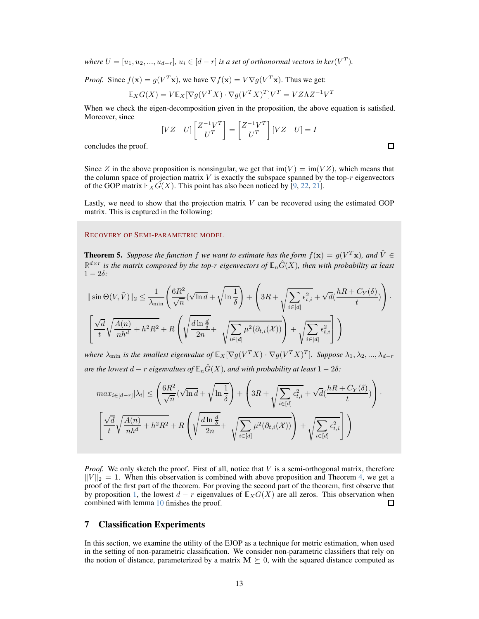*where*  $U = [u_1, u_2, ..., u_{d-r}], u_i \in [d-r]$  *is a set of orthonormal vectors in ker*( $V^T$ ).

*Proof.* Since  $f(\mathbf{x}) = g(V^T \mathbf{x})$ , we have  $\nabla f(\mathbf{x}) = V \nabla g(V^T \mathbf{x})$ . Thus we get:

$$
\mathbb{E}_X G(X) = V \mathbb{E}_X [\nabla g(V^T X) \cdot \nabla g(V^T X)^T] V^T = V Z \Lambda Z^{-1} V^T
$$

When we check the eigen-decomposition given in the proposition, the above equation is satisfied. Moreover, since

$$
\begin{bmatrix} VZ & U \end{bmatrix} \begin{bmatrix} Z^{-1}V^T \\ U^T \end{bmatrix} = \begin{bmatrix} Z^{-1}V^T \\ U^T \end{bmatrix} \begin{bmatrix} VZ & U \end{bmatrix} = I
$$

 $\Box$ 

concludes the proof.

Since Z in the above proposition is nonsingular, we get that  $\text{im}(V) = \text{im}(VZ)$ , which means that the column space of projection matrix  $V$  is exactly the subspace spanned by the top- $r$  eigenvectors of the GOP matrix  $\mathbb{E}_X G(X)$ . This point has also been noticed by [\[9,](#page-14-4) [22,](#page-15-6) 21].

Lastly, we need to show that the projection matrix  $V$  can be recovered using the estimated GOP matrix. This is captured in the following:

#### RECOVERY OF SEMI-PARAMETRIC MODEL

**Theorem 5.** Suppose the function f we want to estimate has the form  $f(\mathbf{x}) = g(V^T\mathbf{x})$ , and  $\tilde{V} \in$  $\mathbb{R}^{d \times r}$  is the matrix composed by the top- $r$  eigenvectors of  $\mathbb{E}_n\hat{G}(X)$ , then with probability at least  $1 - 2\delta$ :

$$
\|\sin\Theta(V,\tilde{V})\|_2 \leq \frac{1}{\lambda_{\min}} \left( \frac{6R^2}{\sqrt{n}} (\sqrt{\ln d} + \sqrt{\ln \frac{1}{\delta}}) + \left( 3R + \sqrt{\sum_{i \in [d]} \epsilon_{t,i}^2} + \sqrt{d} (\frac{hR + C_Y(\delta)}{t}) \right) \cdot \left[ \frac{\sqrt{d}}{t} \sqrt{\frac{A(n)}{nh^d} + h^2 R^2} + R \left( \sqrt{\frac{d\ln \frac{d}{\delta}}{2n}} + \sqrt{\sum_{i \in [d]} \mu^2(\partial_{t,i}(\mathcal{X}))} \right) + \sqrt{\sum_{i \in [d]} \epsilon_{t,i}^2} \right] \right)
$$

*where*  $\lambda_{\min}$  *is the smallest eigenvalue of*  $\mathbb{E}_X[\nabla g(V^TX) \cdot \nabla g(V^TX)^T]$ *. Suppose*  $\lambda_1, \lambda_2, ..., \lambda_{d-r}$ *are the lowest*  $d - r$  *eigenvalues of*  $\mathbb{E}_n \hat{G}(X)$ *, and with probability at least*  $1 - 2\delta$ *:* 

$$
max_{i \in [d-r]} |\lambda_i| \le \left(\frac{6R^2}{\sqrt{n}} (\sqrt{\ln d} + \sqrt{\ln \frac{1}{\delta}}) + \left(3R + \sqrt{\sum_{i \in [d]} \epsilon_{t,i}^2} + \sqrt{d} (\frac{hR + C_Y(\delta)}{t})\right) \cdot \left[\frac{\sqrt{d}}{t} \sqrt{\frac{A(n)}{nh^d} + h^2 R^2} + R\left(\sqrt{\frac{d \ln \frac{d}{\delta}}{2n}} + \sqrt{\sum_{i \in [d]} \mu^2(\partial_{t,i}(\mathcal{X}))}\right) + \sqrt{\sum_{i \in [d]} \epsilon_{t,i}^2}\right]\right)
$$

*Proof.* We only sketch the proof. First of all, notice that V is a semi-orthogonal matrix, therefore  $||V||_2 = 1$ . When this observation is combined with above proposition and Theorem [4,](#page-11-1) we get a proof of the first part of the theorem. For proving the second part of the theorem, first observe that by proposition [1,](#page-11-2) the lowest  $d - r$  eigenvalues of  $\mathbb{E}_X G(X)$  are all zeros. This observation when combined with lemma 10 finishes the proof. combined with lemma [10](#page-10-0) finishes the proof.

# 7 Classification Experiments

In this section, we examine the utility of the EJOP as a technique for metric estimation, when used in the setting of non-parametric classification. We consider non-parametric classifiers that rely on the notion of distance, parameterized by a matrix  $M \succeq 0$ , with the squared distance computed as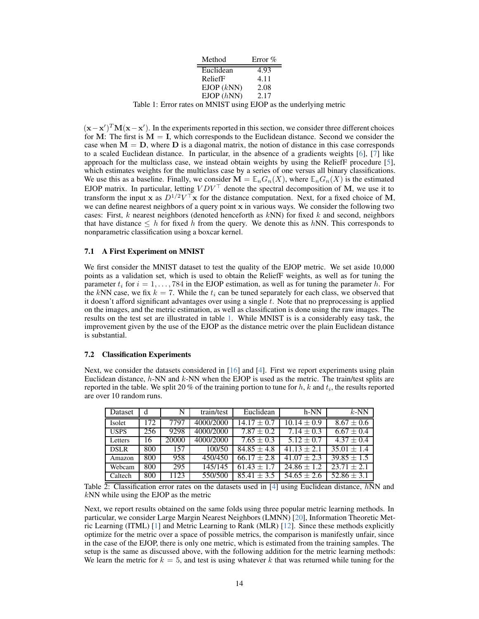| Method     | Error $%$ |  |  |
|------------|-----------|--|--|
| Euclidean  | 4.93      |  |  |
| ReliefF    | 4.11      |  |  |
| EJOP (kNN) | 2.08      |  |  |
| EJOP(hNN)  | 2.17      |  |  |
|            |           |  |  |

<span id="page-13-0"></span>Table 1: Error rates on MNIST using EJOP as the underlying metric

 $(\mathbf{x} - \mathbf{x}')^T \mathbf{M} (\mathbf{x} - \mathbf{x}')$ . In the experiments reported in this section, we consider three different choices for M: The first is  $M = I$ , which corresponds to the Euclidean distance. Second we consider the case when  $M = D$ , where  $D$  is a diagonal matrix, the notion of distance in this case corresponds to a scaled Euclidean distance. In particular, in the absence of a gradients weights [6], [\[7\]](#page-14-0) like approach for the multiclass case, we instead obtain weights by using the ReliefF procedure [\[5\]](#page-14-5), which estimates weights for the multiclass case by a series of one versus all binary classifications. We use this as a baseline. Finally, we consider  $\mathbf{M} = \mathbb{E}_n G_n(X)$ , where  $\mathbb{E}_n G_n(X)$  is the estimated EJOP matrix. In particular, letting  $VDV^{\top}$  denote the spectral decomposition of M, we use it to transform the input x as  $D^{1/2}V^{\top}$ x for the distance computation. Next, for a fixed choice of M, we can define nearest neighbors of a query point x in various ways. We consider the following two cases: First,  $k$  nearest neighbors (denoted henceforth as  $kNN$ ) for fixed  $k$  and second, neighbors that have distance  $\leq h$  for fixed h from the query. We denote this as hNN. This corresponds to nonparametric classification using a boxcar kernel.

#### 7.1 A First Experiment on MNIST

We first consider the MNIST dataset to test the quality of the EJOP metric. We set aside 10,000 points as a validation set, which is used to obtain the ReliefF weights, as well as for tuning the parameter  $t_i$  for  $i = 1, \ldots, 784$  in the EJOP estimation, as well as for tuning the parameter h. For the kNN case, we fix  $k = 7$ . While the  $t_i$  can be tuned separately for each class, we observed that it doesn't afford significant advantages over using a single  $t$ . Note that no preprocessing is applied on the images, and the metric estimation, as well as classification is done using the raw images. The results on the test set are illustrated in table [1.](#page-13-0) While MNIST is is a considerably easy task, the improvement given by the use of the EJOP as the distance metric over the plain Euclidean distance is substantial.

#### 7.2 Classification Experiments

Next, we consider the datasets considered in [\[16\]](#page-15-7) and [\[4\]](#page-14-6). First we report experiments using plain Euclidean distance,  $h$ -NN and  $k$ -NN when the EJOP is used as the metric. The train/test splits are reported in the table. We split 20 % of the training portion to tune for  $h, k$  and  $t_i$ , the results reported are over 10 random runs.

| Dataset     | d   | N     | train/test | Euclidean       | h-NN            | $k$ -NN        |
|-------------|-----|-------|------------|-----------------|-----------------|----------------|
| Isolet      | 172 | 7797  | 4000/2000  | $14.17 + 0.7$   | $10.14 \pm 0.9$ | $8.67 \pm 0.6$ |
| <b>USPS</b> | 256 | 9298  | 4000/2000  | $7.87 \pm 0.2$  | $7.14 \pm 0.3$  | $6.67 \pm 0.4$ |
| Letters     | 16  | 20000 | 4000/2000  | $7.65 \pm 0.3$  | $5.12 \pm 0.7$  | $4.37 \pm 0.4$ |
| <b>DSLR</b> | 800 | 157   | 100/50     | $84.85 \pm 4.8$ | $41.13 + 2.1$   | $35.01 + 1.4$  |
| Amazon      | 800 | 958   | 450/450    | $66.17 + 2.8$   | $41.07 + 2.3$   | $39.85 + 1.5$  |
| Webcam      | 800 | 295   | 145/145    | $61.43 +$       | $24.86 \pm 1.2$ | $23.71 + 2.1$  |
| Caltech     | 800 | 1123  | 550/500    | $85.41 + 3.5$   | $54.65 \pm 2.6$ | $52.86 + 3.1$  |

Table 2: Classification error rates on the datasets used in  $[4]$  using Euclidean distance,  $hNN$  and kNN while using the EJOP as the metric

Next, we report results obtained on the same folds using three popular metric learning methods. In particular, we consider Large Margin Nearest Neighbors (LMNN) [\[20\]](#page-15-8), Information Theoretic Metric Learning (ITML) [\[1\]](#page-14-7) and Metric Learning to Rank (MLR) [\[12\]](#page-15-9). Since these methods explicitly optimize for the metric over a space of possible metrics, the comparison is manifestly unfair, since in the case of the EJOP, there is only one metric, which is estimated from the training samples. The setup is the same as discussed above, with the following addition for the metric learning methods: We learn the metric for  $k = 5$ , and test is using whatever k that was returned while tuning for the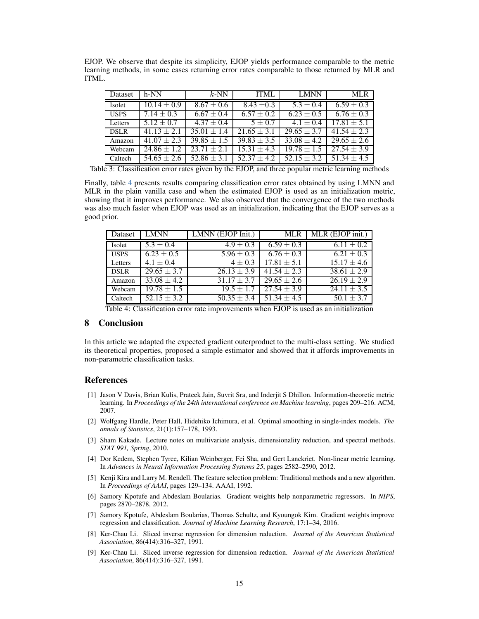EJOP. We observe that despite its simplicity, EJOP yields performance comparable to the metric learning methods, in some cases returning error rates comparable to those returned by MLR and ITML.

| Dataset     | h-NN            | $k$ -NN         | <b>ITML</b>            | <b>LMNN</b>            | <b>MLR</b>             |
|-------------|-----------------|-----------------|------------------------|------------------------|------------------------|
| Isolet      | $10.14 \pm 0.9$ | $8.67 \pm 0.6$  | $8.43 \pm 0.3$         | $5.3 \pm 0.4$          | $6.59 \pm 0.3$         |
| <b>USPS</b> | $7.14 \pm 0.3$  | $6.67 \pm 0.4$  | $6.57 \pm 0.2$         | $6.23 \pm 0.5$         | $6.76 \pm 0.3$         |
| Letters     | $5.12 \pm 0.7$  | $4.37 \pm 0.4$  | $5 \pm 0.7$            | $4.1 \pm 0.4$          | $17.81 + 5.1$          |
| <b>DSLR</b> | $41.13 + 2.1$   | $35.01 \pm 1.4$ | $\sqrt{21.65} \pm 3.1$ | $\sqrt{29.65} \pm 3.7$ | $41.54 + 2.3$          |
| Amazon      | $41.07 \pm 2.3$ | $39.85 \pm 1.5$ | $39.83 \pm 3.5$        | $33.08 \pm 4.2$        | $\sqrt{29.65} \pm 2.6$ |
| Webcam      | $24.86 \pm 1.2$ | $23.71 + 2$     | $15.31 + 4.3$          | $19.78 \pm 1.5$        | $27.54 \pm 3.9$        |
| Caltech     | $54.65 + 2.6$   | $52.86 + 3$     | $52.37 + 4.2$          | $52.15 + 3.2$          | $51.34 \pm 4.5$        |

Table 3: Classification error rates given by the EJOP, and three popular metric learning methods

Finally, table [4](#page-14-8) presents results comparing classification error rates obtained by using LMNN and MLR in the plain vanilla case and when the estimated EJOP is used as an initialization metric, showing that it improves performance. We also observed that the convergence of the two methods was also much faster when EJOP was used as an initialization, indicating that the EJOP serves as a good prior.

| Dataset     | <b>LMNN</b>           | LMNN (EJOP Init.)          | <b>MLR</b>      | MLR (EJOP init.)       |
|-------------|-----------------------|----------------------------|-----------------|------------------------|
| Isolet      | $5.3 \pm 0.4$         | $4.9 \pm 0.3$              | $6.59 \pm 0.3$  | $6.11 \pm 0.2$         |
| <b>USPS</b> | $\sqrt{6.23} \pm 0.5$ | $\overline{5.96} \pm 0.3$  | $6.76 \pm 0.3$  | $6.21 \pm 0.3$         |
| Letters     | $4.1 \pm 0.4$         | $4 \pm 0.3$                | $17.81 \pm 5.1$ | $15.17 \pm 4.6$        |
| <b>DSLR</b> | $29.65 \pm 3.7$       | $26.13 \pm 3.9$            | $41.54 \pm 2.3$ | $38.61 \pm 2.9$        |
| Amazon      | $33.08 \pm 4.2$       | $\overline{31.17} \pm 3.7$ | $29.65 \pm 2.6$ | $\sqrt{26.19 \pm 2.9}$ |
| Webcam      | $19.78 \pm 1.5$       | $19.5 \pm 1.7$             | $27.54 \pm 3.9$ | $\sqrt{24.11} \pm 3.5$ |
| Caltech     | $52.15 \pm 3.2$       | $50.35 \pm 3.4$            | $51.34 \pm 4.5$ | $50.1 \pm 3.7$         |

<span id="page-14-8"></span>Table 4: Classification error rate improvements when EJOP is used as an initialization

#### 8 Conclusion

In this article we adapted the expected gradient outerproduct to the multi-class setting. We studied its theoretical properties, proposed a simple estimator and showed that it affords improvements in non-parametric classification tasks.

### <span id="page-14-7"></span>References

- [1] Jason V Davis, Brian Kulis, Prateek Jain, Suvrit Sra, and Inderjit S Dhillon. Information-theoretic metric learning. In *Proceedings of the 24th international conference on Machine learning*, pages 209–216. ACM, 2007.
- <span id="page-14-2"></span>[2] Wolfgang Hardle, Peter Hall, Hidehiko Ichimura, et al. Optimal smoothing in single-index models. *The annals of Statistics*, 21(1):157–178, 1993.
- <span id="page-14-3"></span>[3] Sham Kakade. Lecture notes on multivariate analysis, dimensionality reduction, and spectral methods. *STAT 991, Spring*, 2010.
- <span id="page-14-6"></span>[4] Dor Kedem, Stephen Tyree, Kilian Weinberger, Fei Sha, and Gert Lanckriet. Non-linear metric learning. In *Advances in Neural Information Processing Systems 25*, pages 2582–2590, 2012.
- <span id="page-14-5"></span>[5] Kenji Kira and Larry M. Rendell. The feature selection problem: Traditional methods and a new algorithm. In *Proceedings of AAAI*, pages 129–134. AAAI, 1992.
- [6] Samory Kpotufe and Abdeslam Boularias. Gradient weights help nonparametric regressors. In *NIPS*, pages 2870–2878, 2012.
- <span id="page-14-0"></span>[7] Samory Kpotufe, Abdeslam Boularias, Thomas Schultz, and Kyoungok Kim. Gradient weights improve regression and classification. *Journal of Machine Learning Research*, 17:1–34, 2016.
- <span id="page-14-1"></span>[8] Ker-Chau Li. Sliced inverse regression for dimension reduction. *Journal of the American Statistical Association*, 86(414):316–327, 1991.
- <span id="page-14-4"></span>[9] Ker-Chau Li. Sliced inverse regression for dimension reduction. *Journal of the American Statistical Association*, 86(414):316–327, 1991.